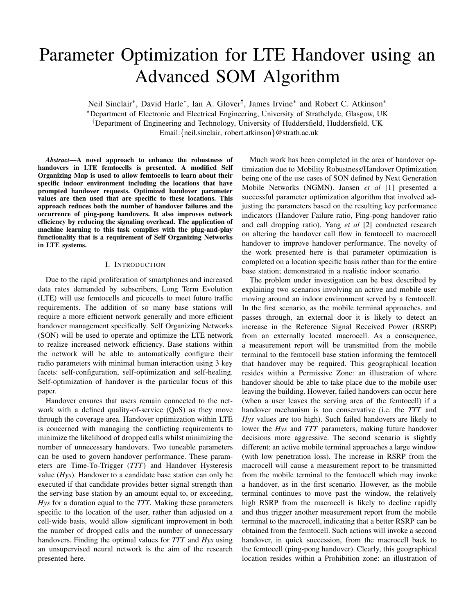# Parameter Optimization for LTE Handover using an Advanced SOM Algorithm

Neil Sinclair<sup>∗</sup>, David Harle<sup>∗</sup>, Ian A. Glover<sup>†</sup>, James Irvine<sup>∗</sup> and Robert C. Atkinson<sup>∗</sup> <sup>∗</sup>Department of Electronic and Electrical Engineering, University of Strathclyde, Glasgow, UK †Department of Engineering and Technology, University of Huddersfield, Huddersfield, UK Email:{neil.sinclair, robert.atkinson}@strath.ac.uk

*Abstract*—A novel approach to enhance the robustness of handovers in LTE femtocells is presented. A modified Self Organizing Map is used to allow femtocells to learn about their specific indoor environment including the locations that have prompted handover requests. Optimized handover parameter values are then used that are specific to these locations. This approach reduces both the number of handover failures and the occurrence of ping-pong handovers. It also improves network efficiency by reducing the signaling overhead. The application of machine learning to this task complies with the plug-and-play functionality that is a requirement of Self Organizing Networks in LTE systems.

# I. INTRODUCTION

Due to the rapid proliferation of smartphones and increased data rates demanded by subscribers, Long Term Evolution (LTE) will use femtocells and picocells to meet future traffic requirements. The addition of so many base stations will require a more efficient network generally and more efficient handover management specifically. Self Organizing Networks (SON) will be used to operate and optimize the LTE network to realize increased network efficiency. Base stations within the network will be able to automatically configure their radio parameters with minimal human interaction using 3 key facets: self-configuration, self-optimization and self-healing. Self-optimization of handover is the particular focus of this paper.

Handover ensures that users remain connected to the network with a defined quality-of-service (QoS) as they move through the coverage area. Handover optimization within LTE is concerned with managing the conflicting requirements to minimize the likelihood of dropped calls whilst minimizing the number of unnecessary handovers. Two tuneable parameters can be used to govern handover performance. These parameters are Time-To-Trigger (*TTT*) and Handover Hysteresis value (*Hys*). Handover to a candidate base station can only be executed if that candidate provides better signal strength than the serving base station by an amount equal to, or exceeding, *Hys* for a duration equal to the *TTT*. Making these parameters specific to the location of the user, rather than adjusted on a cell-wide basis, would allow significant improvement in both the number of dropped calls and the number of unnecessary handovers. Finding the optimal values for *TTT* and *Hys* using an unsupervised neural network is the aim of the research presented here.

Much work has been completed in the area of handover optimization due to Mobility Robustness/Handover Optimization being one of the use cases of SON defined by Next Generation Mobile Networks (NGMN). Jansen *et al* [1] presented a successful parameter optimization algorithm that involved adjusting the parameters based on the resulting key performance indicators (Handover Failure ratio, Ping-pong handover ratio and call dropping ratio). Yang *et al* [2] conducted research on altering the handover call flow in femtocell to macrocell handover to improve handover performance. The novelty of the work presented here is that parameter optimization is completed on a location specific basis rather than for the entire base station; demonstrated in a realistic indoor scenario.

The problem under investigation can be best described by explaining two scenarios involving an active and mobile user moving around an indoor environment served by a femtocell. In the first scenario, as the mobile terminal approaches, and passes through, an external door it is likely to detect an increase in the Reference Signal Received Power (RSRP) from an externally located macrocell. As a consequence, a measurement report will be transmitted from the mobile terminal to the femtocell base station informing the femtocell that handover may be required. This geographical location resides within a Permissive Zone: an illustration of where handover should be able to take place due to the mobile user leaving the building. However, failed handovers can occur here (when a user leaves the serving area of the femtocell) if a handover mechanism is too conservative (i.e. the *TTT* and *Hys* values are too high). Such failed handovers are likely to lower the *Hys* and *TTT* parameters, making future handover decisions more aggressive. The second scenario is slightly different: an active mobile terminal approaches a large window (with low penetration loss). The increase in RSRP from the macrocell will cause a measurement report to be transmitted from the mobile terminal to the femtocell which may invoke a handover, as in the first scenario. However, as the mobile terminal continues to move past the window, the relatively high RSRP from the macrocell is likely to decline rapidly and thus trigger another measurement report from the mobile terminal to the macrocell, indicating that a better RSRP can be obtained from the femtocell. Such actions will invoke a second handover, in quick succession, from the macrocell back to the femtocell (ping-pong handover). Clearly, this geographical location resides within a Prohibition zone: an illustration of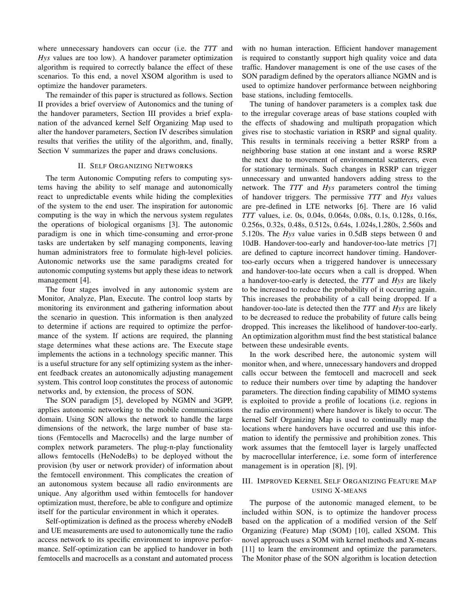where unnecessary handovers can occur (i.e. the *TTT* and *Hys* values are too low). A handover parameter optimization algorithm is required to correctly balance the effect of these scenarios. To this end, a novel XSOM algorithm is used to optimize the handover parameters.

The remainder of this paper is structured as follows. Section II provides a brief overview of Autonomics and the tuning of the handover parameters, Section III provides a brief explanation of the advanced kernel Self Organizing Map used to alter the handover parameters, Section IV describes simulation results that verifies the utility of the algorithm, and, finally, Section V summarizes the paper and draws conclusions.

## II. SELF ORGANIZING NETWORKS

The term Autonomic Computing refers to computing systems having the ability to self manage and autonomically react to unpredictable events while hiding the complexities of the system to the end user. The inspiration for autonomic computing is the way in which the nervous system regulates the operations of biological organisms [3]. The autonomic paradigm is one in which time-consuming and error-prone tasks are undertaken by self managing components, leaving human administrators free to formulate high-level policies. Autonomic networks use the same paradigms created for autonomic computing systems but apply these ideas to network management [4].

The four stages involved in any autonomic system are Monitor, Analyze, Plan, Execute. The control loop starts by monitoring its environment and gathering information about the scenario in question. This information is then analyzed to determine if actions are required to optimize the performance of the system. If actions are required, the planning stage determines what these actions are. The Execute stage implements the actions in a technology specific manner. This is a useful structure for any self optimizing system as the inherent feedback creates an autonomically adjusting management system. This control loop constitutes the process of autonomic networks and, by extension, the process of SON.

The SON paradigm [5], developed by NGMN and 3GPP, applies autonomic networking to the mobile communications domain. Using SON allows the network to handle the large dimensions of the network, the large number of base stations (Femtocells and Macrocells) and the large number of complex network parameters. The plug-n-play functionality allows femtocells (HeNodeBs) to be deployed without the provision (by user or network provider) of information about the femtocell environment. This complicates the creation of an autonomous system because all radio environments are unique. Any algorithm used within femtocells for handover optimization must, therefore, be able to configure and optimize itself for the particular environment in which it operates.

Self-optimization is defined as the process whereby eNodeB and UE measurements are used to autonomically tune the radio access network to its specific environment to improve performance. Self-optimization can be applied to handover in both femtocells and macrocells as a constant and automated process

with no human interaction. Efficient handover management is required to constantly support high quality voice and data traffic. Handover management is one of the use cases of the SON paradigm defined by the operators alliance NGMN and is used to optimize handover performance between neighboring base stations, including femtocells.

The tuning of handover parameters is a complex task due to the irregular coverage areas of base stations coupled with the effects of shadowing and multipath propagation which gives rise to stochastic variation in RSRP and signal quality. This results in terminals receiving a better RSRP from a neighboring base station at one instant and a worse RSRP the next due to movement of environmental scatterers, even for stationary terminals. Such changes in RSRP can trigger unnecessary and unwanted handovers adding stress to the network. The *TTT* and *Hys* parameters control the timing of handover triggers. The permissive *TTT* and *Hys* values are pre-defined in LTE networks [6]. There are 16 valid *TTT* values, i.e. 0s, 0.04s, 0.064s, 0.08s, 0.1s, 0.128s, 0.16s, 0.256s, 0.32s, 0.48s, 0.512s, 0.64s, 1.024s,1.280s, 2.560s and 5.120s. The *Hys* value varies in 0.5dB steps between 0 and 10dB. Handover-too-early and handover-too-late metrics [7] are defined to capture incorrect handover timing. Handovertoo-early occurs when a triggered handover is unnecessary and handover-too-late occurs when a call is dropped. When a handover-too-early is detected, the *TTT* and *Hys* are likely to be increased to reduce the probability of it occurring again. This increases the probability of a call being dropped. If a handover-too-late is detected then the *TTT* and *Hys* are likely to be decreased to reduce the probability of future calls being dropped. This increases the likelihood of handover-too-early. An optimization algorithm must find the best statistical balance between these undesirable events.

In the work described here, the autonomic system will monitor when, and where, unnecessary handovers and dropped calls occur between the femtocell and macrocell and seek to reduce their numbers over time by adapting the handover parameters. The direction finding capability of MIMO systems is exploited to provide a profile of locations (i.e. regions in the radio environment) where handover is likely to occur. The kernel Self Organizing Map is used to continually map the locations where handovers have occurred and use this information to identify the permissive and prohibition zones. This work assumes that the femtocell layer is largely unaffected by macrocellular interference, i.e. some form of interference management is in operation [8], [9].

# III. IMPROVED KERNEL SELF ORGANIZING FEATURE MAP USING X-MEANS

The purpose of the autonomic managed element, to be included within SON, is to optimize the handover process based on the application of a modified version of the Self Organizing (Feature) Map (SOM) [10], called XSOM. This novel approach uses a SOM with kernel methods and X-means [11] to learn the environment and optimize the parameters. The Monitor phase of the SON algorithm is location detection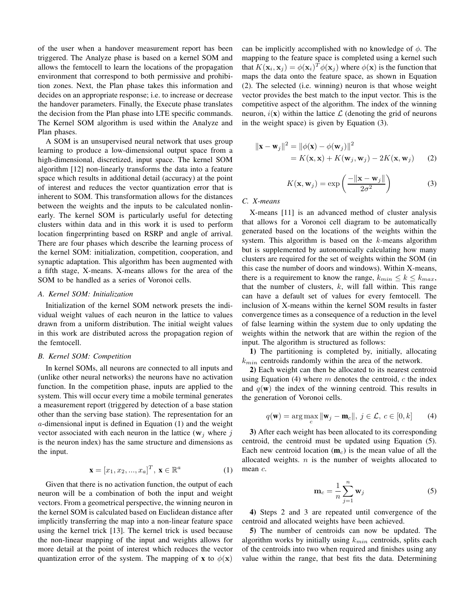of the user when a handover measurement report has been triggered. The Analyze phase is based on a kernel SOM and allows the femtocell to learn the locations of the propagation environment that correspond to both permissive and prohibition zones. Next, the Plan phase takes this information and decides on an appropriate response; i.e. to increase or decrease the handover parameters. Finally, the Execute phase translates the decision from the Plan phase into LTE specific commands. The Kernel SOM algorithm is used within the Analyze and Plan phases.

A SOM is an unsupervised neural network that uses group learning to produce a low-dimensional output space from a high-dimensional, discretized, input space. The kernel SOM algorithm [12] non-linearly transforms the data into a feature space which results in additional detail (accuracy) at the point of interest and reduces the vector quantization error that is inherent to SOM. This transformation allows for the distances between the weights and the inputs to be calculated nonlinearly. The kernel SOM is particularly useful for detecting clusters within data and in this work it is used to perform location fingerprinting based on RSRP and angle of arrival. There are four phases which describe the learning process of the kernel SOM: initialization, competition, cooperation, and synaptic adaptation. This algorithm has been augmented with a fifth stage, X-means. X-means allows for the area of the SOM to be handled as a series of Voronoi cells.

#### *A. Kernel SOM: Initialization*

Initialization of the kernel SOM network presets the individual weight values of each neuron in the lattice to values drawn from a uniform distribution. The initial weight values in this work are distributed across the propagation region of the femtocell.

## *B. Kernel SOM: Competition*

In kernel SOMs, all neurons are connected to all inputs and (unlike other neural networks) the neurons have no activation function. In the competition phase, inputs are applied to the system. This will occur every time a mobile terminal generates a measurement report (triggered by detection of a base station other than the serving base station). The representation for an a-dimensional input is defined in Equation (1) and the weight vector associated with each neuron in the lattice ( $w_i$  where j is the neuron index) has the same structure and dimensions as the input.

$$
\mathbf{x} = [x_1, x_2, ..., x_a]^T, \mathbf{x} \in \mathbb{R}^a \tag{1}
$$

Given that there is no activation function, the output of each neuron will be a combination of both the input and weight vectors. From a geometrical perspective, the winning neuron in the kernel SOM is calculated based on Euclidean distance after implicitly transferring the map into a non-linear feature space using the kernel trick [13]. The kernel trick is used because the non-linear mapping of the input and weights allows for more detail at the point of interest which reduces the vector quantization error of the system. The mapping of **x** to  $\phi(\mathbf{x})$ 

can be implicitly accomplished with no knowledge of  $\phi$ . The mapping to the feature space is completed using a kernel such that  $K(\mathbf{x}_i, \mathbf{x}_j) = \phi(\mathbf{x}_i)^T \phi(\mathbf{x}_j)$  where  $\phi(\mathbf{x})$  is the function that maps the data onto the feature space, as shown in Equation (2). The selected (i.e. winning) neuron is that whose weight vector provides the best match to the input vector. This is the competitive aspect of the algorithm. The index of the winning neuron,  $i(\mathbf{x})$  within the lattice  $\mathcal{L}$  (denoting the grid of neurons in the weight space) is given by Equation (3).

$$
\|\mathbf{x} - \mathbf{w}_j\|^2 = \|\phi(\mathbf{x}) - \phi(\mathbf{w}_j)\|^2
$$
  
=  $K(\mathbf{x}, \mathbf{x}) + K(\mathbf{w}_j, \mathbf{w}_j) - 2K(\mathbf{x}, \mathbf{w}_j)$  (2)

$$
K(\mathbf{x}, \mathbf{w}_j) = \exp\left(\frac{-\|\mathbf{x} - \mathbf{w}_j\|}{2\sigma^2}\right)
$$
 (3)

*C. X-means*

X-means [11] is an advanced method of cluster analysis that allows for a Voronoi cell diagram to be automatically generated based on the locations of the weights within the system. This algorithm is based on the k-means algorithm but is supplemented by autonomically calculating how many clusters are required for the set of weights within the SOM (in this case the number of doors and windows). Within X-means, there is a requirement to know the range,  $k_{min} \le k \le k_{max}$ , that the number of clusters,  $k$ , will fall within. This range can have a default set of values for every femtocell. The inclusion of X-means within the kernel SOM results in faster convergence times as a consequence of a reduction in the level of false learning within the system due to only updating the weights within the network that are within the region of the input. The algorithm is structured as follows:

1) The partitioning is completed by, initially, allocating  $k_{min}$  centroids randomly within the area of the network.

2) Each weight can then be allocated to its nearest centroid using Equation  $(4)$  where m denotes the centroid, c the index and  $q(\mathbf{w})$  the index of the winning centroid. This results in the generation of Voronoi cells.

$$
q(\mathbf{w}) = \arg\max_{c} \|\mathbf{w}_j - \mathbf{m}_c\|, \ j \in \mathcal{L}, \ c \in [0, k] \tag{4}
$$

3) After each weight has been allocated to its corresponding centroid, the centroid must be updated using Equation (5). Each new centroid location  $(m<sub>c</sub>)$  is the mean value of all the allocated weights.  $n$  is the number of weights allocated to mean  $c$ .

$$
\mathbf{m}_c = \frac{1}{n} \sum_{j=1}^n \mathbf{w}_j \tag{5}
$$

4) Steps 2 and 3 are repeated until convergence of the centroid and allocated weights have been achieved.

5) The number of centroids can now be updated. The algorithm works by initially using  $k_{min}$  centroids, splits each of the centroids into two when required and finishes using any value within the range, that best fits the data. Determining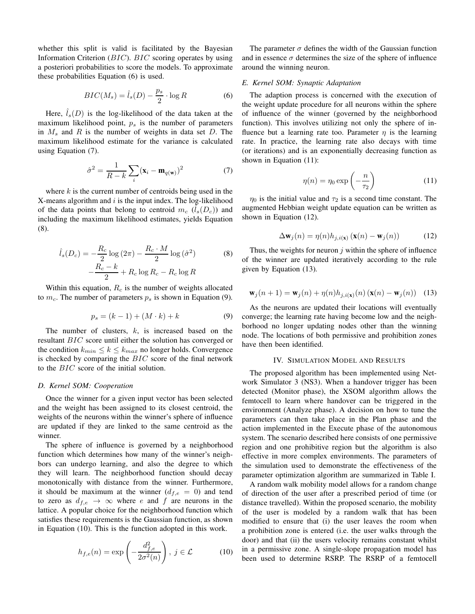whether this split is valid is facilitated by the Bayesian Information Criterion (BIC). BIC scoring operates by using a posteriori probabilities to score the models. To approximate these probabilities Equation (6) is used.

$$
BIC(M_s) = \hat{l}_s(D) - \frac{p_s}{2} \cdot \log R \tag{6}
$$

Here,  $l_s(D)$  is the log-likelihood of the data taken at the maximum likelihood point,  $p_s$  is the number of parameters in  $M_s$  and  $R$  is the number of weights in data set  $D$ . The maximum likelihood estimate for the variance is calculated using Equation (7).

$$
\hat{\sigma}^2 = \frac{1}{R - k} \sum_{i} (\mathbf{x}_i - \mathbf{m}_{q(\mathbf{w})})^2
$$
 (7)

where  $k$  is the current number of centroids being used in the  $X$ -means algorithm and  $i$  is the input index. The log-likelihood of the data points that belong to centroid  $m_c$  ( $\tilde{l}_s(D_c)$ ) and including the maximum likelihood estimates, yields Equation (8).

$$
\hat{l}_s(D_c) = -\frac{R_c}{2}\log(2\pi) - \frac{R_c \cdot M}{2}\log(\hat{\sigma}^2)
$$
\n
$$
-\frac{R_c - k}{2} + R_c \log R_c - R_c \log R
$$
\n(8)

Within this equation,  $R_c$  is the number of weights allocated to  $m_c$ . The number of parameters  $p_s$  is shown in Equation (9).

$$
p_s = (k - 1) + (M \cdot k) + k \tag{9}
$$

The number of clusters,  $k$ , is increased based on the resultant BIC score until either the solution has converged or the condition  $k_{min} \le k \le k_{max}$  no longer holds. Convergence is checked by comparing the  $BIC$  score of the final network to the BIC score of the initial solution.

#### *D. Kernel SOM: Cooperation*

Once the winner for a given input vector has been selected and the weight has been assigned to its closest centroid, the weights of the neurons within the winner's sphere of influence are updated if they are linked to the same centroid as the winner.

The sphere of influence is governed by a neighborhood function which determines how many of the winner's neighbors can undergo learning, and also the degree to which they will learn. The neighborhood function should decay monotonically with distance from the winner. Furthermore, it should be maximum at the winner  $(d_{f,e} = 0)$  and tend to zero as  $d_{f,e} \rightarrow \infty$  where e and f are neurons in the lattice. A popular choice for the neighborhood function which satisfies these requirements is the Gaussian function, as shown in Equation (10). This is the function adopted in this work.

$$
h_{f,e}(n) = \exp\left(-\frac{d_{f,e}^2}{2\sigma^2(n)}\right), \ j \in \mathcal{L} \tag{10}
$$

The parameter  $\sigma$  defines the width of the Gaussian function and in essence  $\sigma$  determines the size of the sphere of influence around the winning neuron.

#### *E. Kernel SOM: Synaptic Adaptation*

The adaption process is concerned with the execution of the weight update procedure for all neurons within the sphere of influence of the winner (governed by the neighborhood function). This involves utilizing not only the sphere of influence but a learning rate too. Parameter  $\eta$  is the learning rate. In practice, the learning rate also decays with time (or iterations) and is an exponentially decreasing function as shown in Equation (11):

$$
\eta(n) = \eta_0 \exp\left(-\frac{n}{\tau_2}\right) \tag{11}
$$

 $\eta_0$  is the initial value and  $\tau_2$  is a second time constant. The augmented Hebbian weight update equation can be written as shown in Equation (12).

$$
\Delta \mathbf{w}_j(n) = \eta(n) h_{j,i(\mathbf{x})} \left( \mathbf{x}(n) - \mathbf{w}_j(n) \right) \tag{12}
$$

Thus, the weights for neuron  $j$  within the sphere of influence of the winner are updated iteratively according to the rule given by Equation (13).

$$
\mathbf{w}_j(n+1) = \mathbf{w}_j(n) + \eta(n) h_{j,i(\mathbf{x})}(n) \left( \mathbf{x}(n) - \mathbf{w}_j(n) \right) \tag{13}
$$

As the neurons are updated their locations will eventually converge; the learning rate having become low and the neighborhood no longer updating nodes other than the winning node. The locations of both permissive and prohibition zones have then been identified.

# IV. SIMULATION MODEL AND RESULTS

The proposed algorithm has been implemented using Network Simulator 3 (NS3). When a handover trigger has been detected (Monitor phase), the XSOM algorithm allows the femtocell to learn where handover can be triggered in the environment (Analyze phase). A decision on how to tune the parameters can then take place in the Plan phase and the action implemented in the Execute phase of the autonomous system. The scenario described here consists of one permissive region and one prohibitive region but the algorithm is also effective in more complex environments. The parameters of the simulation used to demonstrate the effectiveness of the parameter optimization algorithm are summarized in Table I.

A random walk mobility model allows for a random change of direction of the user after a prescribed period of time (or distance travelled). Within the proposed scenario, the mobility of the user is modeled by a random walk that has been modified to ensure that (i) the user leaves the room when a prohibition zone is entered (i.e. the user walks through the door) and that (ii) the users velocity remains constant whilst in a permissive zone. A single-slope propagation model has been used to determine RSRP. The RSRP of a femtocell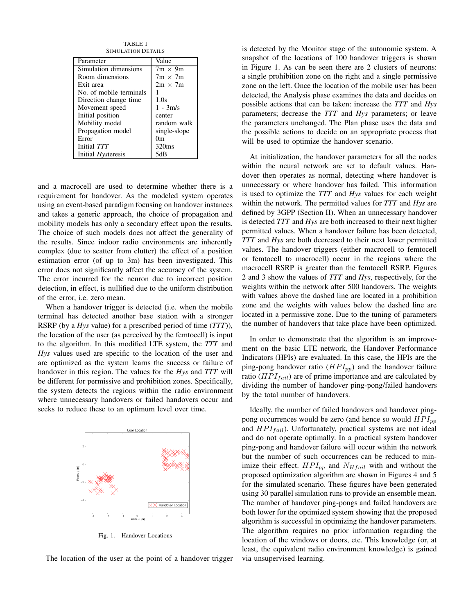TABLE I SIMULATION DETAILS

| Parameter               | Value          |
|-------------------------|----------------|
| Simulation dimensions   | $7m \times 9m$ |
| Room dimensions         | $7m \times 7m$ |
| Exit area               | $2m \times 7m$ |
| No. of mobile terminals |                |
| Direction change time.  | 1.0s           |
| Movement speed          | $1 - 3m/s$     |
| Initial position        | center         |
| Mobility model          | random walk    |
| Propagation model       | single-slope   |
| Error                   | 0m             |
| Initial TTT             | 320ms          |
| Initial Hysteresis      | 5dB            |

and a macrocell are used to determine whether there is a requirement for handover. As the modeled system operates using an event-based paradigm focusing on handover instances and takes a generic approach, the choice of propagation and mobility models has only a secondary effect upon the results. The choice of such models does not affect the generality of the results. Since indoor radio environments are inherently complex (due to scatter from clutter) the effect of a position estimation error (of up to 3m) has been investigated. This error does not significantly affect the accuracy of the system. The error incurred for the neuron due to incorrect position detection, in effect, is nullified due to the uniform distribution of the error, i.e. zero mean.

When a handover trigger is detected (i.e. when the mobile terminal has detected another base station with a stronger RSRP (by a *Hys* value) for a prescribed period of time (*TTT*)), the location of the user (as perceived by the femtocell) is input to the algorithm. In this modified LTE system, the *TTT* and *Hys* values used are specific to the location of the user and are optimized as the system learns the success or failure of handover in this region. The values for the *Hys* and *TTT* will be different for permissive and prohibition zones. Specifically, the system detects the regions within the radio environment where unnecessary handovers or failed handovers occur and seeks to reduce these to an optimum level over time.



Fig. 1. Handover Locations

The location of the user at the point of a handover trigger

is detected by the Monitor stage of the autonomic system. A snapshot of the locations of 100 handover triggers is shown in Figure 1. As can be seen there are 2 clusters of neurons: a single prohibition zone on the right and a single permissive zone on the left. Once the location of the mobile user has been detected, the Analysis phase examines the data and decides on possible actions that can be taken: increase the *TTT* and *Hys* parameters; decrease the *TTT* and *Hys* parameters; or leave the parameters unchanged. The Plan phase uses the data and the possible actions to decide on an appropriate process that will be used to optimize the handover scenario.

At initialization, the handover parameters for all the nodes within the neural network are set to default values. Handover then operates as normal, detecting where handover is unnecessary or where handover has failed. This information is used to optimize the *TTT* and *Hys* values for each weight within the network. The permitted values for *TTT* and *Hys* are defined by 3GPP (Section II). When an unnecessary handover is detected *TTT* and *Hys* are both increased to their next higher permitted values. When a handover failure has been detected, *TTT* and *Hys* are both decreased to their next lower permitted values. The handover triggers (either macrocell to femtocell or femtocell to macrocell) occur in the regions where the macrocell RSRP is greater than the femtocell RSRP. Figures 2 and 3 show the values of *TTT* and *Hys*, respectively, for the weights within the network after 500 handovers. The weights with values above the dashed line are located in a prohibition zone and the weights with values below the dashed line are located in a permissive zone. Due to the tuning of parameters the number of handovers that take place have been optimized.

In order to demonstrate that the algorithm is an improvement on the basic LTE network, the Handover Performance Indicators (HPIs) are evaluated. In this case, the HPIs are the ping-pong handover ratio  $(HPI_{pp})$  and the handover failure ratio ( $HPI<sub>fail</sub>$ ) are of prime importance and are calculated by dividing the number of handover ping-pong/failed handovers by the total number of handovers.

Ideally, the number of failed handovers and handover pingpong occurrences would be zero (and hence so would  $HPI_{pp}$ ) and  $HPI_{fail}$ ). Unfortunately, practical systems are not ideal and do not operate optimally. In a practical system handover ping-pong and handover failure will occur within the network but the number of such occurrences can be reduced to minimize their effect.  $HPI_{pp}$  and  $N_{Hfail}$  with and without the proposed optimization algorithm are shown in Figures 4 and 5 for the simulated scenario. These figures have been generated using 30 parallel simulation runs to provide an ensemble mean. The number of handover ping-pongs and failed handovers are both lower for the optimized system showing that the proposed algorithm is successful in optimizing the handover parameters. The algorithm requires no prior information regarding the location of the windows or doors, etc. This knowledge (or, at least, the equivalent radio environment knowledge) is gained via unsupervised learning.